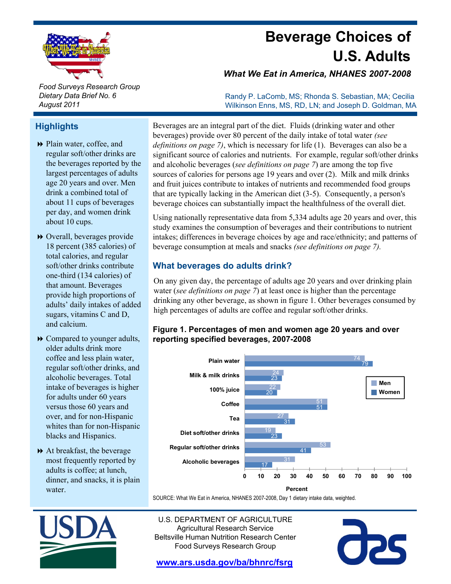

# **Beverage Choices of U.S. Adults**

*What We Eat in America, NHANES 2007-2008*

Randy P. LaComb, MS; Rhonda S. Sebastian, MA; Cecilia Wilkinson Enns, MS, RD, LN; and Joseph D. Goldman, MA

*Food Surveys Research Group Dietary Data Brief No. 6 August 2011*

# **Highlights**

- Plain water, coffee, and regular soft/other drinks are the beverages reported by the largest percentages of adults age 20 years and over. Men drink a combined total of about 11 cups of beverages per day, and women drink about 10 cups
- Overall, beverages provide 18 percent (385 calories) of total calories, and regular soft/other drinks contribute one-third (134 calories) of that amount. Beverages provide high proportions of sugars, vitamins C and D, and calcium.
- **►** Compared to younger adults, older adults drink more regular soft/other drinks, and alcoholic beverages. Total intake of beverages is higher for adults under 60 years versus those 60 years and over, and for non-Hispanic whites than for non-Hispanic blacks and Hispanics.
- At breakfast, the beverage most frequently reported by adults is coffee; at lunch, dinner, and snacks, it is plain water.

Beverages are an integral part of the diet. Fluids (drinking water and other beverages) provide over 80 percent of the daily intake of total water *(see definitions on page 7)*, which is necessary for life (1). Beverages can also be a significant source of calories and nutrients. For example, regular soft/other drinks and alcoholic beverages (*see definitions on page 7*) are among the top five sources of calories for persons age 19 years and over (2). Milk and milk drinks and fruit juices contribute to intakes of nutrients and recommended food groups that are typically lacking in the American diet (3-5). Consequently, a person's beverage choices can substantially impact the healthfulness of the overall diet.

Using nationally representative data from  $5,334$  adults age 20 years and over, this study examines the consumption of beverages and their contributions to nutrient intakes; differences in beverage choices by age and race/ethnicity; and patterns of beverage consumption at meals and snacks *(see definitions on page 7).*

# **What beverages do adults drink?**

On any given day, the percentage of adults age 20 years and over drinking plain provide high proportions of water (*see definitions on page 7*) at least once is higher than the percentage provide high proportions of added drinking any other beverage, as shown in figure 1. Other beverages consumed by water *(see definitions on page 7)* at least once is higher than the percentage high percentages of adults are coffee and regular soft/other drinks.

## **Figure 1. Percentages of men and women age 20 years and over reporting specified beverages, 2007-2008**



SOURCE: What We Eat in America, NHANES 2007-2008, Day 1 dietary intake data, weighted.



U.S. DEPARTMENT OF AGRICULTURE Agricultural Research Service Beltsville Human Nutrition Research Center Food Surveys Research Group

**aps** 

**www.ars.usda.gov/ba/bhnrc/fsrg**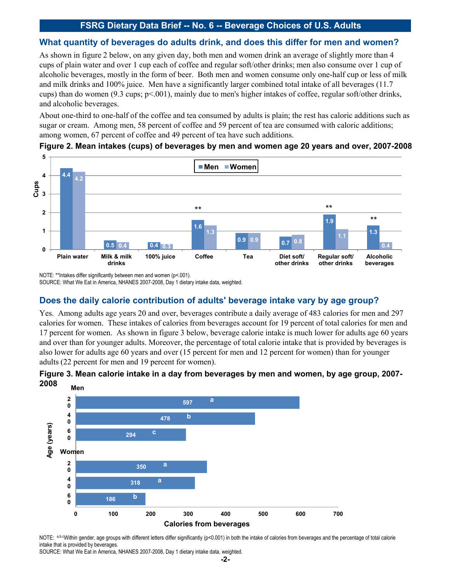## **What quantity of beverages do adults drink, and does this differ for men and women?**

As shown in figure 2 below, on any given day, both men and women drink an average of slightly more than 4 cups of plain water and over 1 cup each of coffee and regular soft/other drinks; men also consume over 1 cup of alcoholic beverages, mostly in the form of beer. Both men and women consume only one-half cup or less of milk and milk drinks and 100% juice. Men have a significantly larger combined total intake of all beverages (11.7 cups) than do women (9.3 cups;  $p<0.01$ ), mainly due to men's higher intakes of coffee, regular soft/other drink and alcoholic beverages.

About one-third to one-half of the coffee and tea consumed by adults is plain; the rest has caloric additions such as sugar or cream. Among men, 58 percent of coffee and 59 percent of tea are consumed with caloric additions; among women, 67 percent of coffee and 49 percent of tea have such additions.

#### **Figure 2. Mean intakes (cups) of beverages by men and women age 20 years and over, 2007-2008**



NOTE: \*\*Intakes differ significantly between men and women (p<.001). SOURCE: What We Eat in America, NHANES 2007-2008, Day 1 dietary intake data, weighted.

# **Does the daily calorie contribution of adults' beverage intake vary by age group?**

Yes. Among adults age years 20 and over, beverages contribute a daily average of 483 calories for men and 297 calories for women. These intakes of calories from beverages account for 19 percent of total calories for men and 17 percent for women. As shown in figure 3 below, beverage calorie intake is much lower for adults age 60 years and over than for younger adults. Moreover, the percentage of total calorie intake that is provided by beverages is also lower for adults age 60 years and over (15 percent for men and 12 percent for women) than for younger adults (22 percent for men and 19 percent for women) adults (22 percent for men and 19 percent for women).





NOTE: a,b.cWithin gender, age groups with different letters differ significantly (p<0.001) in both the intake of calories from beverages and the percentage of total calorie intake that is provided by beverages.

SOURCE: What We Eat in America, NHANES 2007-2008, Day 1 dietary intake data, weighted.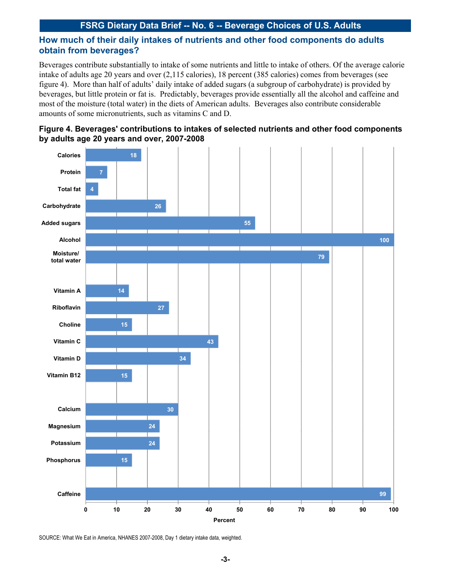# **How much of their daily intakes of nutrients and other food components do adults obtain from beverages?**

Beverages contribute substantially to intake of some nutrients and little to intake of others. Of the average calorie intake of adults age 20 years and over (2,115 calories), 18 percent (385 calories) comes from beverages (see figure 4). More than half of adults' daily intake of added sugars (a subgroup of carbohydrate) is provided by beverages, but little protein or fat is. Predictably, beverages provide essentially all the alcohol and caffeine and most of the moisture (total water) in the diets of American adults. Beverages also contribute considerable amounts of some micronutrients, such as vitamins C and D.





SOURCE: What We Eat in America, NHANES 2007-2008, Day 1 dietary intake data, weighted.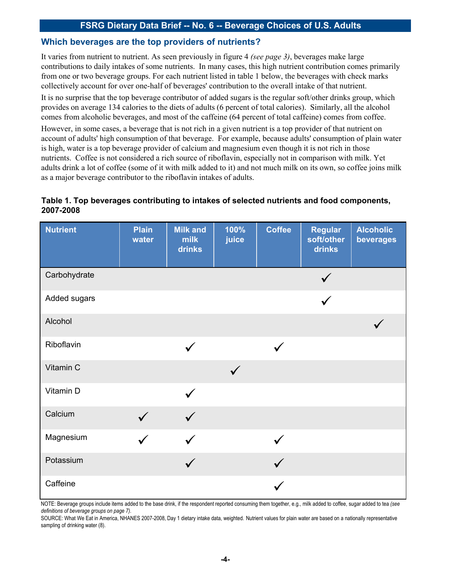## **Which beverages are the top providers of nutrients?**

It varies from nutrient to nutrient. As seen previously in figure 4 *(see page 3)*, beverages make large contributions to daily intakes of some nutrients. In many cases, this high nutrient contribution comes primarily from one or two beverage groups. For each nutrient listed in table 1 below, the beverages with check marks collectively account for over one-half of beverages' contribution to the overall intake of that nutrient.

It is no surprise that the top beverage contributor of added sugars is the regular soft/other drinks group, which provides on average 134 calories to the diets of adults (6 percent of total calories). Similarly, all the alcohol comes from alcoholic beverages, and most of the caffeine (64 percent of total caffeine) comes from coffee.

However, in some cases, a beverage that is not rich in a given nutrient is a top provider of that nutrient on account of adults' high consumption of that beverage. For example, because adults' consumption of plain water is high, water is a top beverage provider of calcium and magnesium even though it is not rich in those nutrients. Coffee is not considered a rich source of riboflavin, especially not in comparison with milk. Yet adults drink a lot of coffee (some of it with milk added to it) and not much milk on its own, so coffee joins milk as a major beverage contributor to the riboflavin intakes of adults.

## **Table 1. Top beverages contributing to intakes of selected nutrients and food components, 2007-2008**

| <b>Nutrient</b> | <b>Plain</b><br>water | <b>Milk and</b><br>milk<br>drinks | 100%<br>juice | <b>Coffee</b> | <b>Regular</b><br>soft/other<br>drinks | <b>Alcoholic</b><br>beverages |
|-----------------|-----------------------|-----------------------------------|---------------|---------------|----------------------------------------|-------------------------------|
| Carbohydrate    |                       |                                   |               |               |                                        |                               |
| Added sugars    |                       |                                   |               |               |                                        |                               |
| Alcohol         |                       |                                   |               |               |                                        |                               |
| Riboflavin      |                       |                                   |               |               |                                        |                               |
| Vitamin C       |                       |                                   | $\checkmark$  |               |                                        |                               |
| Vitamin D       |                       |                                   |               |               |                                        |                               |
| Calcium         |                       |                                   |               |               |                                        |                               |
| Magnesium       |                       |                                   |               |               |                                        |                               |
| Potassium       |                       |                                   |               |               |                                        |                               |
| Caffeine        |                       |                                   |               |               |                                        |                               |

NOTE: Beverage groups include items added to the base drink, if the respondent reported consuming them together, e.g., milk added to coffee, sugar added to tea *(see definitions of beverage groups on page 7)*.

SOURCE: What We Eat in America, NHANES 2007-2008, Day 1 dietary intake data, weighted. Nutrient values for plain water are based on a nationally representative sampling of drinking water (8).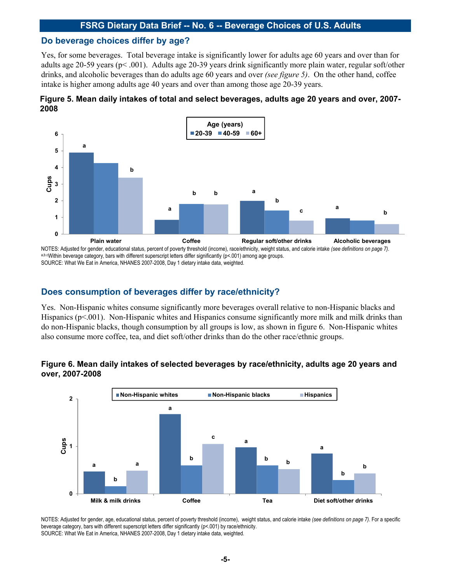#### **Do beverage choices differ by age?**

Yes, for some beverages. Total beverage intake is significantly lower for adults age 60 years and over than for adults age 20-59 years (p< .001). Adults age 20-39 years drink significantly more plain water, regular soft/other drinks, and alcoholic beverages than do adults age 60 years and over *(see figure 5)*. On the other hand, coffee intake is higher among adults age 40 years and over than among those age 20-39 years.





NOTES: Adjusted for gender, educational status, percent of poverty threshold (income), race/ethnicity, weight status, and calorie intake (see definitions on page 7).<br>a,b.cWithin beverage category, bars with different super SOURCE: What We Eat in America, NHANES 2007-2008, Day 1 dietary intake data, weighted.

## **Does consumption of beverages differ by race/ethnicity? Does consumption of beverages differ by**

Yes. Non-Hispanic whites consume significantly more beverages overall relative to non-Hispanic blacks and Hispanics (p<.001). Non-Hispanic whites and Hispanics consume significantly more milk and milk drinks than do non-Hispanic blacks, though consumption by all groups is low, as shown in figure 6. Non-Hispanic whites also consume more coffee, tea, and diet soft/other drinks than do the other race/ethnic groups.

#### Figure 6. Mean daily intakes of selected beverages by race/ethnicity, adults age 20 years and **over, 2007-2008**



NOTES: Adjusted for gender, age, educational status, percent of poverty threshold (income), weight status, and calorie intake *(see definitions on page 7)*. For a specific beverage category, bars with different superscript letters differ significantly (p<.001) by race/ethnicity. SOURCE: What We Eat in America, NHANES 2007-2008, Day 1 dietary intake data, weighted.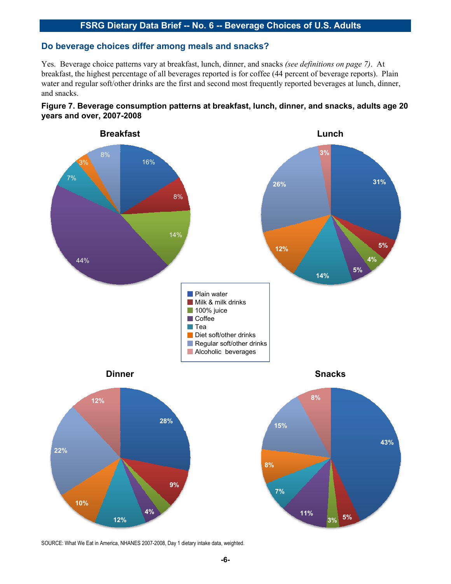# **Do beverage choices differ among meals and snacks?**

Yes. Beverage choice patterns vary at breakfast, lunch, dinner, and snacks *(see definitions on page 7)*. At breakfast, the highest percentage of all beverages reported is for coffee (44 percent of beverage reports). Plain water and regular soft/other drinks are the first and second most frequently reported beverages at lunch, dinner, and snacks.





SOURCE: What We Eat in America, NHANES 2007-2008, Day 1 dietary intake data, weighted.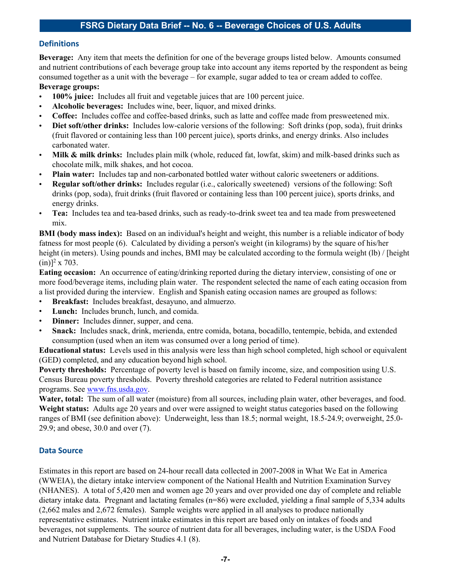#### **Definitions**

**Beverage:** Any item that meets the definition for one of the beverage groups listed below. Amounts consumed and nutrient contributions of each beverage group take into account any items reported by the respondent as being consumed together as a unit with the beverage – for example, sugar added to tea or cream added to coffee.

# **Beverage groups:**

- **100% juice:** Includes all fruit and vegetable juices that are 100 percent juice.
- **Alcoholic beverages:** Includes wine, beer, liquor, and mixed drinks.
- **Coffee:** Includes coffee and coffee-based drinks, such as latte and coffee made from presweetened mix.
- **Diet soft/other drinks:** Includes low-calorie versions of the following: Soft drinks (pop, soda), fruit drinks (fruit flavored or containing less than 100 percent juice), sports drinks, and energy drinks. Also includes carbonated water.
- Milk & milk drinks: Includes plain milk (whole, reduced fat, lowfat, skim) and milk-based drinks such as chocolate milk, milk shakes, and hot cocoa.
- **Plain water:** Includes tap and non-carbonated bottled water without caloric sweeteners or additions.
- **Regular soft/other drinks:** Includes regular (i.e., calorically sweetened) versions of the following: Soft drinks (pop, soda), fruit drinks (fruit flavored or containing less than 100 percent juice), sports drinks, and energy drinks.
- **Tea:** Includes tea and tea-based drinks, such as ready-to-drink sweet tea and tea made from presweetened mix.

**BMI (body mass index):** Based on an individual's height and weight, this number is a reliable indicator of body fatness for most people (6). Calculated by dividing a person's weight (in kilograms) by the square of his/her height (in meters). Using pounds and inches, BMI may be calculated according to the formula weight (lb) / [height  $(in)$ <sup>2</sup> x 703.

**Eating occasion:** An occurrence of eating/drinking reported during the dietary interview, consisting of one or more food/beverage items, including plain water. The respondent selected the name of each eating occasion from a list provided during the interview. English and Spanish eating occasion names are grouped as follows:

- **Breakfast:** Includes breakfast, desayuno, and almuerzo.
- Lunch: Includes brunch, lunch, and comida.
- **Dinner:** Includes dinner, supper, and cena.
- **Snack:** Includes snack, drink, merienda, entre comida, botana, bocadillo, tentempie, bebida, and extended consumption (used when an item was consumed over a long period of time).

**Educational status:** Levels used in this analysis were less than high school completed, high school or equivalent (GED) completed, and any education beyond high school.

**Poverty thresholds:** Percentage of poverty level is based on family income, size, and composition using U.S. Census Bureau poverty thresholds. Poverty threshold categories are related to Federal nutrition assistance programs. See www.fns.usda.gov.

**Water, total:** The sum of all water (moisture) from all sources, including plain water, other beverages, and food. **Weight status:** Adults age 20 years and over were assigned to weight status categories based on the following ranges of BMI (see definition above): Underweight, less than 18.5; normal weight, 18.5-24.9; overweight, 25.0-  $29.9$ ; and obese,  $30.0$  and over  $(7)$ .

#### **Data Source**

Estimates in this report are based on 24-hour recall data collected in 2007-2008 in What We Eat in America (WWEIA), the dietary intake interview component of the National Health and Nutrition Examination Survey (NHANES). A total of 5,420 men and women age 20 years and over provided one day of complete and reliable dietary intake data. Pregnant and lactating females (n=86) were excluded, yielding a final sample of 5,334 adults (2,662 males and 2,672 females). Sample weights were applied in all analyses to produce nationally representative estimates. Nutrient intake estimates in this report are based only on intakes of foods and beverages, not supplements. The source of nutrient data for all beverages, including water, is the USDA Food and Nutrient Database for Dietary Studies 4.1 (8).